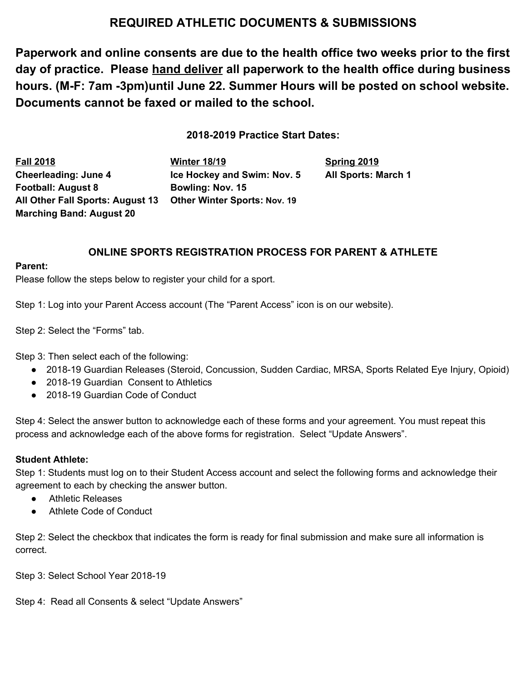# **REQUIRED ATHLETIC DOCUMENTS & SUBMISSIONS**

**Paperwork and online consents are due to the health office two weeks prior to the first day of practice. Please hand deliver all paperwork to the health office during business hours. (M-F: 7am -3pm)until June 22. Summer Hours will be posted on school website. Documents cannot be faxed or mailed to the school.**

**2018-2019 Practice Start Dates:**

**Fall 2018 Winter 18/19 Spring 2019 Cheerleading: June 4 Ice Hockey and Swim: Nov. 5 All Sports: March 1 Football: August 8 Bowling: Nov. 15 All Other Fall Sports: August 13 Other Winter Sports: Nov. 19 Marching Band: August 20**

# **ONLINE SPORTS REGISTRATION PROCESS FOR PARENT & ATHLETE**

#### **Parent:**

Please follow the steps below to register your child for a sport.

Step 1: Log into your Parent Access account (The "Parent Access" icon is on our website).

Step 2: Select the "Forms" tab.

Step 3: Then select each of the following:

- 2018-19 Guardian Releases (Steroid, Concussion, Sudden Cardiac, MRSA, Sports Related Eye Injury, Opioid)
- 2018-19 Guardian Consent to Athletics
- 2018-19 Guardian Code of Conduct

Step 4: Select the answer button to acknowledge each of these forms and your agreement. You must repeat this process and acknowledge each of the above forms for registration. Select "Update Answers".

### **Student Athlete:**

Step 1: Students must log on to their Student Access account and select the following forms and acknowledge their agreement to each by checking the answer button.

- Athletic Releases
- Athlete Code of Conduct

Step 2: Select the checkbox that indicates the form is ready for final submission and make sure all information is correct.

Step 3: Select School Year 2018-19

Step 4: Read all Consents & select "Update Answers"